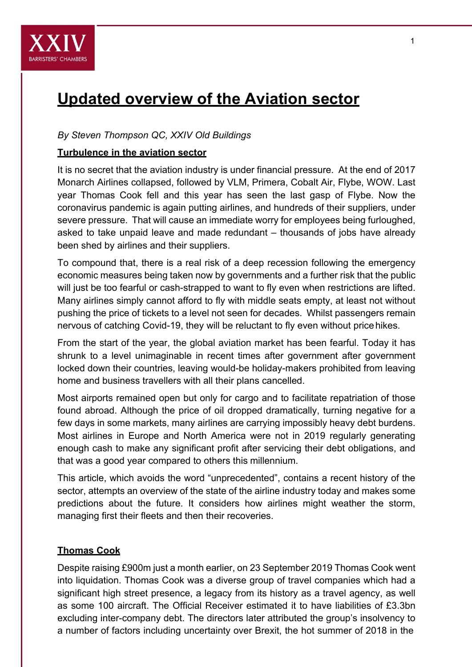

# **Updated overview of the Aviation sector**

## *By Steven Thompson QC, XXIV Old Buildings*

### **Turbulence in the aviation sector**

It is no secret that the aviation industry is under financial pressure. At the end of 2017 Monarch Airlines collapsed, followed by VLM, Primera, Cobalt Air, Flybe, WOW. Last year Thomas Cook fell and this year has seen the last gasp of Flybe. Now the coronavirus pandemic is again putting airlines, and hundreds of their suppliers, under severe pressure. That will cause an immediate worry for employees being furloughed, asked to take unpaid leave and made redundant – thousands of jobs have already been shed by airlines and their suppliers.

To compound that, there is a real risk of a deep recession following the emergency economic measures being taken now by governments and a further risk that the public will just be too fearful or cash-strapped to want to fly even when restrictions are lifted. Many airlines simply cannot afford to fly with middle seats empty, at least not without pushing the price of tickets to a level not seen for decades. Whilst passengers remain nervous of catching Covid-19, they will be reluctant to fly even without price hikes.

From the start of the year, the global aviation market has been fearful. Today it has shrunk to a level unimaginable in recent times after government after government locked down their countries, leaving would-be holiday-makers prohibited from leaving home and business travellers with all their plans cancelled.

Most airports remained open but only for cargo and to facilitate repatriation of those found abroad. Although the price of oil dropped dramatically, turning negative for a few days in some markets, many airlines are carrying impossibly heavy debt burdens. Most airlines in Europe and North America were not in 2019 regularly generating enough cash to make any significant profit after servicing their debt obligations, and that was a good year compared to others this millennium.

This article, which avoids the word "unprecedented", contains a recent history of the sector, attempts an overview of the state of the airline industry today and makes some predictions about the future. It considers how airlines might weather the storm, managing first their fleets and then their recoveries.

#### **Thomas Cook**

Despite raising £900m just a month earlier, on 23 September 2019 Thomas Cook went into liquidation. Thomas Cook was a diverse group of travel companies which had a significant high street presence, a legacy from its history as a travel agency, as well as some 100 aircraft. The Official Receiver estimated it to have liabilities of £3.3bn excluding inter-company debt. The directors later attributed the group's insolvency to a number of factors including uncertainty over Brexit, the hot summer of 2018 in the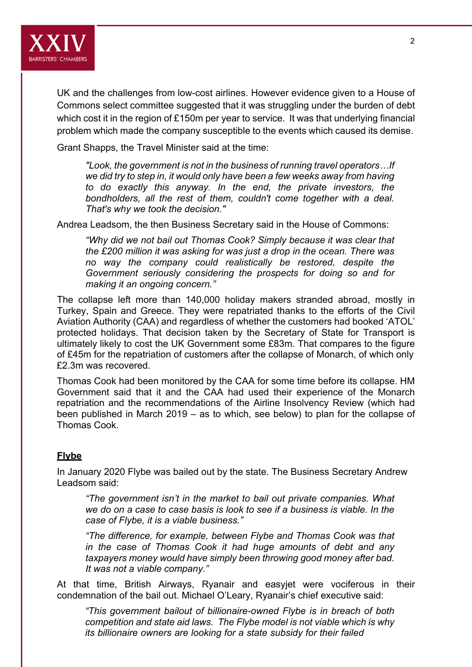

UK and the challenges from low-cost airlines. However evidence given to a House of Commons select committee suggested that it was struggling under the burden of debt which cost it in the region of £150m per year to service. It was that underlying financial problem which made the company susceptible to the events which caused its demise.

Grant Shapps, the Travel Minister said at the time:

*"Look, the government is not in the business of running travel operators…If we did try to step in, it would only have been a few weeks away from having to do exactly this anyway. In the end, the private investors, the bondholders, all the rest of them, couldn't come together with a deal. That's why we took the decision."* 

Andrea Leadsom, the then Business Secretary said in the House of Commons:

*"Why did we not bail out Thomas Cook? Simply because it was clear that the £200 million it was asking for was just a drop in the ocean. There was no way the company could realistically be restored, despite the Government seriously considering the prospects for doing so and for making it an ongoing concern."* 

The collapse left more than 140,000 holiday makers stranded abroad, mostly in Turkey, Spain and Greece. They were repatriated thanks to the efforts of the Civil Aviation Authority (CAA) and regardless of whether the customers had booked 'ATOL' protected holidays. That decision taken by the Secretary of State for Transport is ultimately likely to cost the UK Government some £83m. That compares to the figure of £45m for the repatriation of customers after the collapse of Monarch, of which only £2.3m was recovered.

Thomas Cook had been monitored by the CAA for some time before its collapse. HM Government said that it and the CAA had used their experience of the Monarch repatriation and the recommendations of the Airline Insolvency Review (which had been published in March 2019 – as to which, see below) to plan for the collapse of Thomas Cook.

#### **Flybe**

In January 2020 Flybe was bailed out by the state. The Business Secretary Andrew Leadsom said:

*"The government isn't in the market to bail out private companies. What we do on a case to case basis is look to see if a business is viable. In the case of Flybe, it is a viable business."* 

*"The difference, for example, between Flybe and Thomas Cook was that in the case of Thomas Cook it had huge amounts of debt and any taxpayers money would have simply been throwing good money after bad. It was not a viable company."* 

At that time, British Airways, Ryanair and easyjet were vociferous in their condemnation of the bail out. Michael O'Leary, Ryanair's chief executive said:

*"This government bailout of billionaire-owned Flybe is in breach of both competition and state aid laws. The Flybe model is not viable which is why its billionaire owners are looking for a state subsidy for their failed*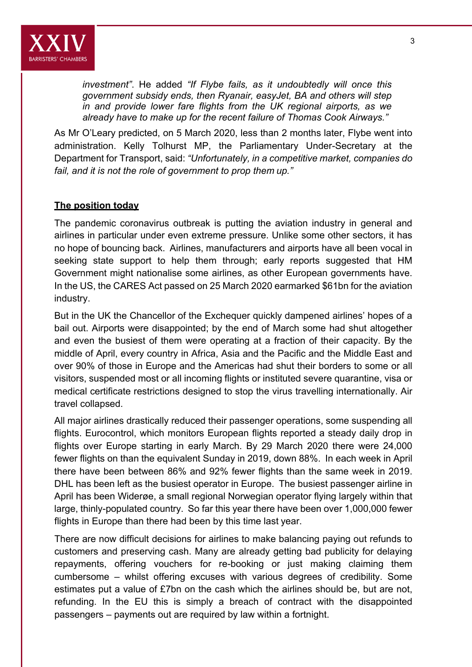

*investment"*. He added *"If Flybe fails, as it undoubtedly will once this government subsidy ends, then Ryanair, easyJet, BA and others will step in and provide lower fare flights from the UK regional airports, as we already have to make up for the recent failure of Thomas Cook Airways."* 

As Mr O'Leary predicted, on 5 March 2020, less than 2 months later, Flybe went into administration. Kelly Tolhurst MP, the Parliamentary Under-Secretary at the Department for Transport, said: *"Unfortunately, in a competitive market, companies do fail, and it is not the role of government to prop them up."*

#### **The position today**

The pandemic coronavirus outbreak is putting the aviation industry in general and airlines in particular under even extreme pressure. Unlike some other sectors, it has no hope of bouncing back. Airlines, manufacturers and airports have all been vocal in seeking state support to help them through; early reports suggested that HM Government might nationalise some airlines, as other European governments have. In the US, the CARES Act passed on 25 March 2020 earmarked \$61bn for the aviation industry.

But in the UK the Chancellor of the Exchequer quickly dampened airlines' hopes of a bail out. Airports were disappointed; by the end of March some had shut altogether and even the busiest of them were operating at a fraction of their capacity. By the middle of April, every country in Africa, Asia and the Pacific and the Middle East and over 90% of those in Europe and the Americas had shut their borders to some or all visitors, suspended most or all incoming flights or instituted severe quarantine, visa or medical certificate restrictions designed to stop the virus travelling internationally. Air travel collapsed.

All major airlines drastically reduced their passenger operations, some suspending all flights. Eurocontrol, which monitors European flights reported a steady daily drop in flights over Europe starting in early March. By 29 March 2020 there were 24,000 fewer flights on than the equivalent Sunday in 2019, down 88%. In each week in April there have been between 86% and 92% fewer flights than the same week in 2019. DHL has been left as the busiest operator in Europe. The busiest passenger airline in April has been Widerøe, a small regional Norwegian operator flying largely within that large, thinly-populated country. So far this year there have been over 1,000,000 fewer flights in Europe than there had been by this time last year.

There are now difficult decisions for airlines to make balancing paying out refunds to customers and preserving cash. Many are already getting bad publicity for delaying repayments, offering vouchers for re-booking or just making claiming them cumbersome – whilst offering excuses with various degrees of credibility. Some estimates put a value of £7bn on the cash which the airlines should be, but are not, refunding. In the EU this is simply a breach of contract with the disappointed passengers – payments out are required by law within a fortnight.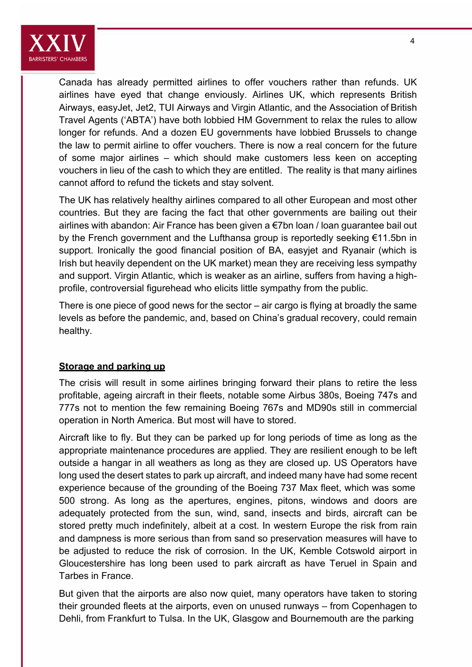

Canada has already permitted airlines to offer vouchers rather than refunds. UK airlines have eyed that change enviously. Airlines UK, which represents British Airways, easyJet, Jet2, TUI Airways and Virgin Atlantic, and the Association of British Travel Agents ('ABTA') have both lobbied HM Government to relax the rules to allow longer for refunds. And a dozen EU governments have lobbied Brussels to change the law to permit airline to offer vouchers. There is now a real concern for the future of some major airlines – which should make customers less keen on accepting vouchers in lieu of the cash to which they are entitled. The reality is that many airlines cannot afford to refund the tickets and stay solvent.

The UK has relatively healthy airlines compared to all other European and most other countries. But they are facing the fact that other governments are bailing out their airlines with abandon: Air France has been given a €7bn loan / loan guarantee bail out by the French government and the Lufthansa group is reportedly seeking €11.5bn in support. Ironically the good financial position of BA, easyjet and Ryanair (which is Irish but heavily dependent on the UK market) mean they are receiving less sympathy and support. Virgin Atlantic, which is weaker as an airline, suffers from having a highprofile, controversial figurehead who elicits little sympathy from the public.

There is one piece of good news for the sector – air cargo is flying at broadly the same levels as before the pandemic, and, based on China's gradual recovery, could remain healthy.

#### **Storage and parking up**

The crisis will result in some airlines bringing forward their plans to retire the less profitable, ageing aircraft in their fleets, notable some Airbus 380s, Boeing 747s and 777s not to mention the few remaining Boeing 767s and MD90s still in commercial operation in North America. But most will have to stored.

Aircraft like to fly. But they can be parked up for long periods of time as long as the appropriate maintenance procedures are applied. They are resilient enough to be left outside a hangar in all weathers as long as they are closed up. US Operators have long used the desert states to park up aircraft, and indeed many have had some recent experience because of the grounding of the Boeing 737 Max fleet, which was some 500 strong. As long as the apertures, engines, pitons, windows and doors are adequately protected from the sun, wind, sand, insects and birds, aircraft can be stored pretty much indefinitely, albeit at a cost. In western Europe the risk from rain and dampness is more serious than from sand so preservation measures will have to be adjusted to reduce the risk of corrosion. In the UK, Kemble Cotswold airport in Gloucestershire has long been used to park aircraft as have Teruel in Spain and Tarbes in France.

But given that the airports are also now quiet, many operators have taken to storing their grounded fleets at the airports, even on unused runways – from Copenhagen to Dehli, from Frankfurt to Tulsa. In the UK, Glasgow and Bournemouth are the parking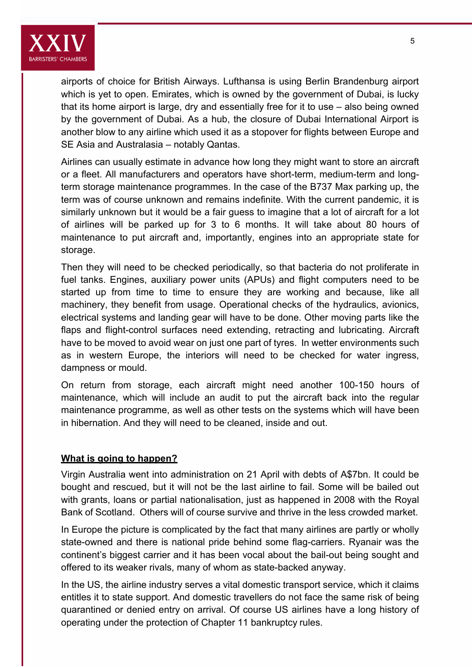

airports of choice for British Airways. Lufthansa is using Berlin Brandenburg airport which is yet to open. Emirates, which is owned by the government of Dubai, is lucky that its home airport is large, dry and essentially free for it to use – also being owned by the government of Dubai. As a hub, the closure of Dubai International Airport is another blow to any airline which used it as a stopover for flights between Europe and SE Asia and Australasia – notably Qantas.

Airlines can usually estimate in advance how long they might want to store an aircraft or a fleet. All manufacturers and operators have short-term, medium-term and longterm storage maintenance programmes. In the case of the B737 Max parking up, the term was of course unknown and remains indefinite. With the current pandemic, it is similarly unknown but it would be a fair guess to imagine that a lot of aircraft for a lot of airlines will be parked up for 3 to 6 months. It will take about 80 hours of maintenance to put aircraft and, importantly, engines into an appropriate state for storage.

Then they will need to be checked periodically, so that bacteria do not proliferate in fuel tanks. Engines, auxiliary power units (APUs) and flight computers need to be started up from time to time to ensure they are working and because, like all machinery, they benefit from usage. Operational checks of the hydraulics, avionics, electrical systems and landing gear will have to be done. Other moving parts like the flaps and flight-control surfaces need extending, retracting and lubricating. Aircraft have to be moved to avoid wear on just one part of tyres. In wetter environments such as in western Europe, the interiors will need to be checked for water ingress, dampness or mould.

On return from storage, each aircraft might need another 100-150 hours of maintenance, which will include an audit to put the aircraft back into the regular maintenance programme, as well as other tests on the systems which will have been in hibernation. And they will need to be cleaned, inside and out.

#### **What is going to happen?**

Virgin Australia went into administration on 21 April with debts of A\$7bn. It could be bought and rescued, but it will not be the last airline to fail. Some will be bailed out with grants, loans or partial nationalisation, just as happened in 2008 with the Royal Bank of Scotland. Others will of course survive and thrive in the less crowded market.

In Europe the picture is complicated by the fact that many airlines are partly or wholly state-owned and there is national pride behind some flag-carriers. Ryanair was the continent's biggest carrier and it has been vocal about the bail-out being sought and offered to its weaker rivals, many of whom as state-backed anyway.

In the US, the airline industry serves a vital domestic transport service, which it claims entitles it to state support. And domestic travellers do not face the same risk of being quarantined or denied entry on arrival. Of course US airlines have a long history of operating under the protection of Chapter 11 bankruptcy rules.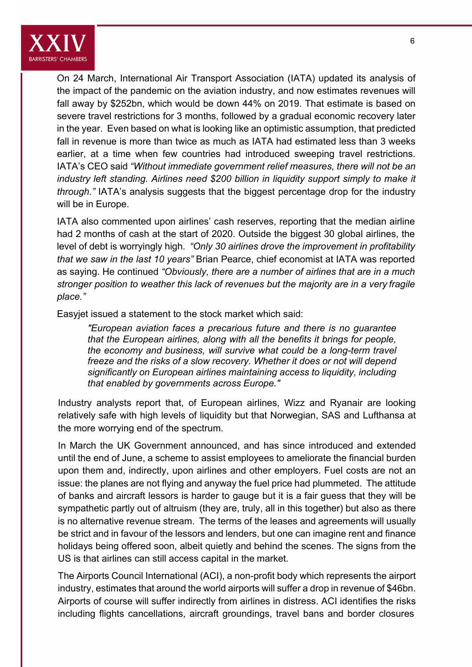

On 24 March, International Air Transport Association (IATA) updated its analysis of the impact of the pandemic on the aviation industry, and now estimates revenues will fall away by \$252bn, which would be down 44% on 2019. That estimate is based on severe travel restrictions for 3 months, followed by a gradual economic recovery later in the year. Even based on what is looking like an optimistic assumption, that predicted fall in revenue is more than twice as much as IATA had estimated less than 3 weeks earlier, at a time when few countries had introduced sweeping travel restrictions. IATA's CEO said *"Without immediate government relief measures, there will not be an industry left standing. Airlines need \$200 billion in liquidity support simply to make it through."* IATA's analysis suggests that the biggest percentage drop for the industry will be in Europe.

IATA also commented upon airlines' cash reserves, reporting that the median airline had 2 months of cash at the start of 2020. Outside the biggest 30 global airlines, the level of debt is worryingly high. *"Only 30 airlines drove the improvement in profitability that we saw in the last 10 years"* Brian Pearce, chief economist at IATA was reported as saying. He continued *"Obviously, there are a number of airlines that are in a much stronger position to weather this lack of revenues but the majority are in a very fragile place."* 

Easyjet issued a statement to the stock market which said:

*"European aviation faces a precarious future and there is no guarantee that the European airlines, along with all the benefits it brings for people, the economy and business, will survive what could be a long-term travel freeze and the risks of a slow recovery. Whether it does or not will depend significantly on European airlines maintaining access to liquidity, including that enabled by governments across Europe."* 

Industry analysts report that, of European airlines, Wizz and Ryanair are looking relatively safe with high levels of liquidity but that Norwegian, SAS and Lufthansa at the more worrying end of the spectrum.

In March the UK Government announced, and has since introduced and extended until the end of June, a scheme to assist employees to ameliorate the financial burden upon them and, indirectly, upon airlines and other employers. Fuel costs are not an issue: the planes are not flying and anyway the fuel price had plummeted. The attitude of banks and aircraft lessors is harder to gauge but it is a fair guess that they will be sympathetic partly out of altruism (they are, truly, all in this together) but also as there is no alternative revenue stream. The terms of the leases and agreements will usually be strict and in favour of the lessors and lenders, but one can imagine rent and finance holidays being offered soon, albeit quietly and behind the scenes. The signs from the US is that airlines can still access capital in the market.

The Airports Council International (ACI), a non-profit body which represents the airport industry, estimates that around the world airports will suffer a drop in revenue of \$46bn. Airports of course will suffer indirectly from airlines in distress. ACI identifies the risks including flights cancellations, aircraft groundings, travel bans and border closures